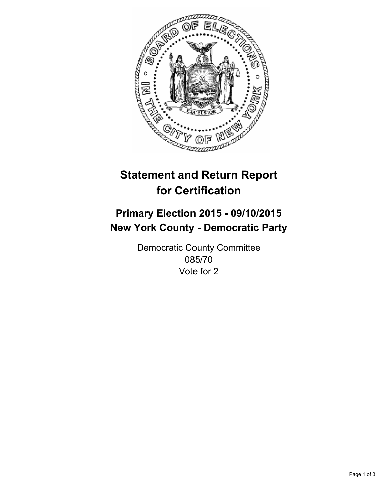

# **Statement and Return Report for Certification**

## **Primary Election 2015 - 09/10/2015 New York County - Democratic Party**

Democratic County Committee 085/70 Vote for 2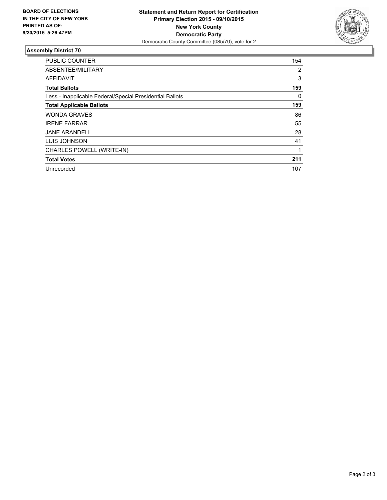

#### **Assembly District 70**

| <b>PUBLIC COUNTER</b>                                    | 154 |
|----------------------------------------------------------|-----|
| ABSENTEE/MILITARY                                        | 2   |
| <b>AFFIDAVIT</b>                                         | 3   |
| <b>Total Ballots</b>                                     | 159 |
| Less - Inapplicable Federal/Special Presidential Ballots | 0   |
| <b>Total Applicable Ballots</b>                          | 159 |
| <b>WONDA GRAVES</b>                                      | 86  |
| <b>IRENE FARRAR</b>                                      | 55  |
| <b>JANE ARANDELL</b>                                     | 28  |
| LUIS JOHNSON                                             | 41  |
| <b>CHARLES POWELL (WRITE-IN)</b>                         | 1   |
| <b>Total Votes</b>                                       | 211 |
| Unrecorded                                               | 107 |